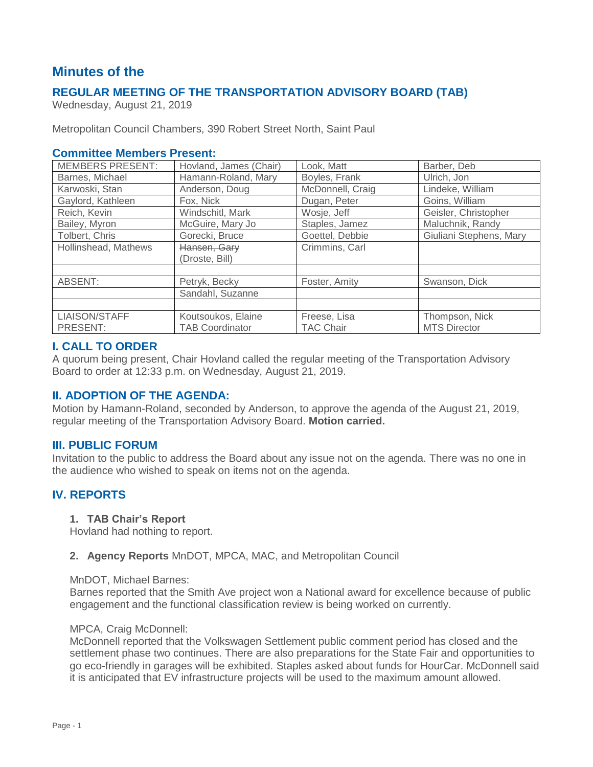# **Minutes of the**

## **REGULAR MEETING OF THE TRANSPORTATION ADVISORY BOARD (TAB)**

Wednesday, August 21, 2019

Metropolitan Council Chambers, 390 Robert Street North, Saint Paul

## **Committee Members Present:**

| <b>MEMBERS PRESENT:</b> | Hovland, James (Chair) | Look, Matt       | Barber, Deb             |
|-------------------------|------------------------|------------------|-------------------------|
| Barnes, Michael         | Hamann-Roland, Mary    | Boyles, Frank    | Ulrich, Jon             |
| Karwoski, Stan          | Anderson, Doug         | McDonnell, Craig | Lindeke, William        |
| Gaylord, Kathleen       | Fox, Nick              | Dugan, Peter     | Goins, William          |
| Reich, Kevin            | Windschitl, Mark       | Wosje, Jeff      | Geisler, Christopher    |
| Bailey, Myron           | McGuire, Mary Jo       | Staples, Jamez   | Maluchnik, Randy        |
| Tolbert, Chris          | Gorecki, Bruce         | Goettel, Debbie  | Giuliani Stephens, Mary |
| Hollinshead, Mathews    | Hansen, Gary           | Crimmins, Carl   |                         |
|                         | (Droste, Bill)         |                  |                         |
|                         |                        |                  |                         |
| ABSENT:                 | Petryk, Becky          | Foster, Amity    | Swanson, Dick           |
|                         | Sandahl, Suzanne       |                  |                         |
|                         |                        |                  |                         |
| LIAISON/STAFF           | Koutsoukos, Elaine     | Freese, Lisa     | Thompson, Nick          |
| PRESENT:                | <b>TAB Coordinator</b> | <b>TAC Chair</b> | <b>MTS Director</b>     |

## **I. CALL TO ORDER**

A quorum being present, Chair Hovland called the regular meeting of the Transportation Advisory Board to order at 12:33 p.m. on Wednesday, August 21, 2019.

## **II. ADOPTION OF THE AGENDA:**

Motion by Hamann-Roland, seconded by Anderson, to approve the agenda of the August 21, 2019, regular meeting of the Transportation Advisory Board. **Motion carried.**

### **III. PUBLIC FORUM**

Invitation to the public to address the Board about any issue not on the agenda. There was no one in the audience who wished to speak on items not on the agenda.

## **IV. REPORTS**

#### **1. TAB Chair's Report**

Hovland had nothing to report.

### **2. Agency Reports** MnDOT, MPCA, MAC, and Metropolitan Council

#### MnDOT, Michael Barnes:

Barnes reported that the Smith Ave project won a National award for excellence because of public engagement and the functional classification review is being worked on currently.

#### MPCA, Craig McDonnell:

McDonnell reported that the Volkswagen Settlement public comment period has closed and the settlement phase two continues. There are also preparations for the State Fair and opportunities to go eco-friendly in garages will be exhibited. Staples asked about funds for HourCar. McDonnell said it is anticipated that EV infrastructure projects will be used to the maximum amount allowed.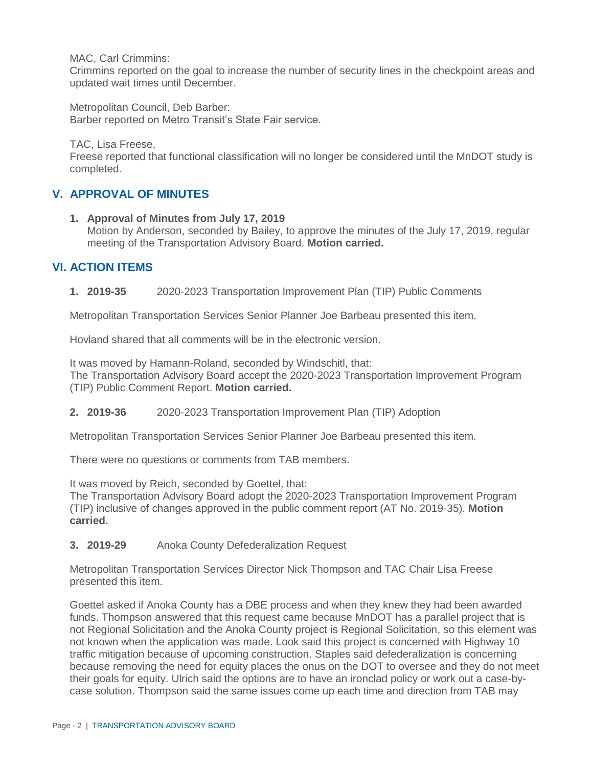MAC, Carl Crimmins:

Crimmins reported on the goal to increase the number of security lines in the checkpoint areas and updated wait times until December.

Metropolitan Council, Deb Barber: Barber reported on Metro Transit's State Fair service.

TAC, Lisa Freese,

Freese reported that functional classification will no longer be considered until the MnDOT study is completed.

## **V. APPROVAL OF MINUTES**

**1. Approval of Minutes from July 17, 2019** Motion by Anderson, seconded by Bailey, to approve the minutes of the July 17, 2019, regular meeting of the Transportation Advisory Board. **Motion carried.**

## **VI. ACTION ITEMS**

**1. 2019-35** 2020-2023 Transportation Improvement Plan (TIP) Public Comments

Metropolitan Transportation Services Senior Planner Joe Barbeau presented this item.

Hovland shared that all comments will be in the electronic version.

It was moved by Hamann-Roland, seconded by Windschitl, that: The Transportation Advisory Board accept the 2020-2023 Transportation Improvement Program (TIP) Public Comment Report. **Motion carried.**

**2. 2019-36** 2020-2023 Transportation Improvement Plan (TIP) Adoption

Metropolitan Transportation Services Senior Planner Joe Barbeau presented this item.

There were no questions or comments from TAB members.

It was moved by Reich, seconded by Goettel, that:

The Transportation Advisory Board adopt the 2020-2023 Transportation Improvement Program (TIP) inclusive of changes approved in the public comment report (AT No. 2019-35). **Motion carried.**

**3. 2019-29** Anoka County Defederalization Request

Metropolitan Transportation Services Director Nick Thompson and TAC Chair Lisa Freese presented this item.

Goettel asked if Anoka County has a DBE process and when they knew they had been awarded funds. Thompson answered that this request came because MnDOT has a parallel project that is not Regional Solicitation and the Anoka County project is Regional Solicitation, so this element was not known when the application was made. Look said this project is concerned with Highway 10 traffic mitigation because of upcoming construction. Staples said defederalization is concerning because removing the need for equity places the onus on the DOT to oversee and they do not meet their goals for equity. Ulrich said the options are to have an ironclad policy or work out a case-bycase solution. Thompson said the same issues come up each time and direction from TAB may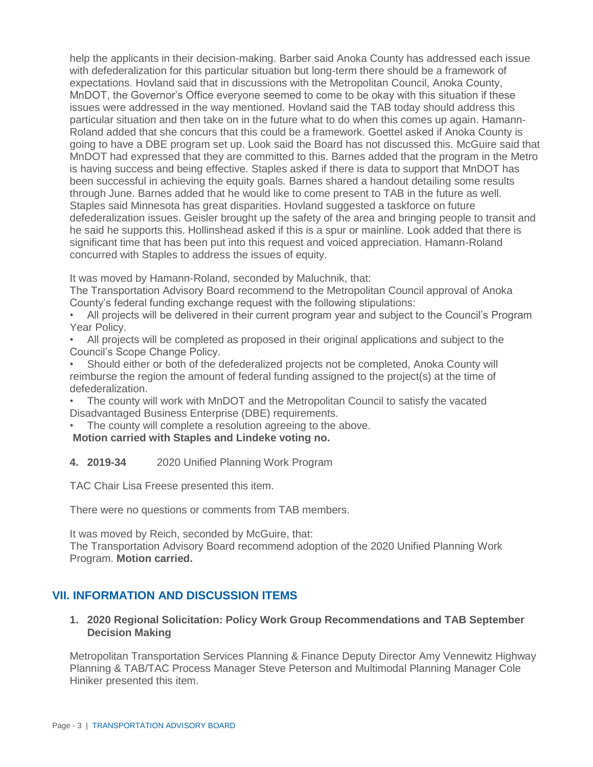help the applicants in their decision-making. Barber said Anoka County has addressed each issue with defederalization for this particular situation but long-term there should be a framework of expectations. Hovland said that in discussions with the Metropolitan Council, Anoka County, MnDOT, the Governor's Office everyone seemed to come to be okay with this situation if these issues were addressed in the way mentioned. Hovland said the TAB today should address this particular situation and then take on in the future what to do when this comes up again. Hamann-Roland added that she concurs that this could be a framework. Goettel asked if Anoka County is going to have a DBE program set up. Look said the Board has not discussed this. McGuire said that MnDOT had expressed that they are committed to this. Barnes added that the program in the Metro is having success and being effective. Staples asked if there is data to support that MnDOT has been successful in achieving the equity goals. Barnes shared a handout detailing some results through June. Barnes added that he would like to come present to TAB in the future as well. Staples said Minnesota has great disparities. Hovland suggested a taskforce on future defederalization issues. Geisler brought up the safety of the area and bringing people to transit and he said he supports this. Hollinshead asked if this is a spur or mainline. Look added that there is significant time that has been put into this request and voiced appreciation. Hamann-Roland concurred with Staples to address the issues of equity.

It was moved by Hamann-Roland, seconded by Maluchnik, that:

The Transportation Advisory Board recommend to the Metropolitan Council approval of Anoka County's federal funding exchange request with the following stipulations:

• All projects will be delivered in their current program year and subject to the Council's Program Year Policy.

• All projects will be completed as proposed in their original applications and subject to the Council's Scope Change Policy.

• Should either or both of the defederalized projects not be completed, Anoka County will reimburse the region the amount of federal funding assigned to the project(s) at the time of defederalization.

• The county will work with MnDOT and the Metropolitan Council to satisfy the vacated Disadvantaged Business Enterprise (DBE) requirements.

The county will complete a resolution agreeing to the above.

**Motion carried with Staples and Lindeke voting no.** 

**4. 2019-34** 2020 Unified Planning Work Program

TAC Chair Lisa Freese presented this item.

There were no questions or comments from TAB members.

It was moved by Reich, seconded by McGuire, that:

The Transportation Advisory Board recommend adoption of the 2020 Unified Planning Work Program. **Motion carried.**

## **VII. INFORMATION AND DISCUSSION ITEMS**

## **1. 2020 Regional Solicitation: Policy Work Group Recommendations and TAB September Decision Making**

Metropolitan Transportation Services Planning & Finance Deputy Director Amy Vennewitz Highway Planning & TAB/TAC Process Manager Steve Peterson and Multimodal Planning Manager Cole Hiniker presented this item.